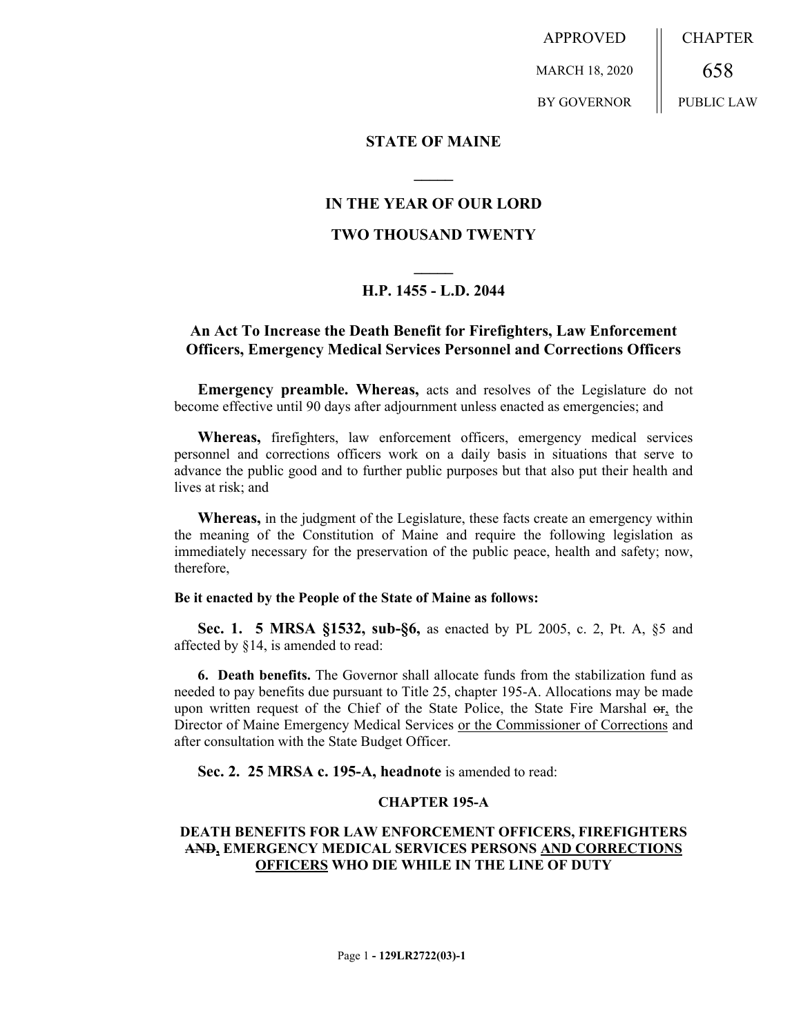APPROVED MARCH 18, 2020 BY GOVERNOR CHAPTER 658 PUBLIC LAW

## **STATE OF MAINE**

# **IN THE YEAR OF OUR LORD**

**\_\_\_\_\_**

# **TWO THOUSAND TWENTY**

# **\_\_\_\_\_ H.P. 1455 - L.D. 2044**

# **An Act To Increase the Death Benefit for Firefighters, Law Enforcement Officers, Emergency Medical Services Personnel and Corrections Officers**

**Emergency preamble. Whereas,** acts and resolves of the Legislature do not become effective until 90 days after adjournment unless enacted as emergencies; and

**Whereas,** firefighters, law enforcement officers, emergency medical services personnel and corrections officers work on a daily basis in situations that serve to advance the public good and to further public purposes but that also put their health and lives at risk; and

**Whereas,** in the judgment of the Legislature, these facts create an emergency within the meaning of the Constitution of Maine and require the following legislation as immediately necessary for the preservation of the public peace, health and safety; now, therefore,

#### **Be it enacted by the People of the State of Maine as follows:**

**Sec. 1. 5 MRSA §1532, sub-§6,** as enacted by PL 2005, c. 2, Pt. A, §5 and affected by §14, is amended to read:

**6. Death benefits.** The Governor shall allocate funds from the stabilization fund as needed to pay benefits due pursuant to Title 25, chapter 195-A. Allocations may be made upon written request of the Chief of the State Police, the State Fire Marshal or, the Director of Maine Emergency Medical Services or the Commissioner of Corrections and after consultation with the State Budget Officer.

**Sec. 2. 25 MRSA c. 195-A, headnote** is amended to read:

#### **CHAPTER 195-A**

### **DEATH BENEFITS FOR LAW ENFORCEMENT OFFICERS, FIREFIGHTERS AND, EMERGENCY MEDICAL SERVICES PERSONS AND CORRECTIONS OFFICERS WHO DIE WHILE IN THE LINE OF DUTY**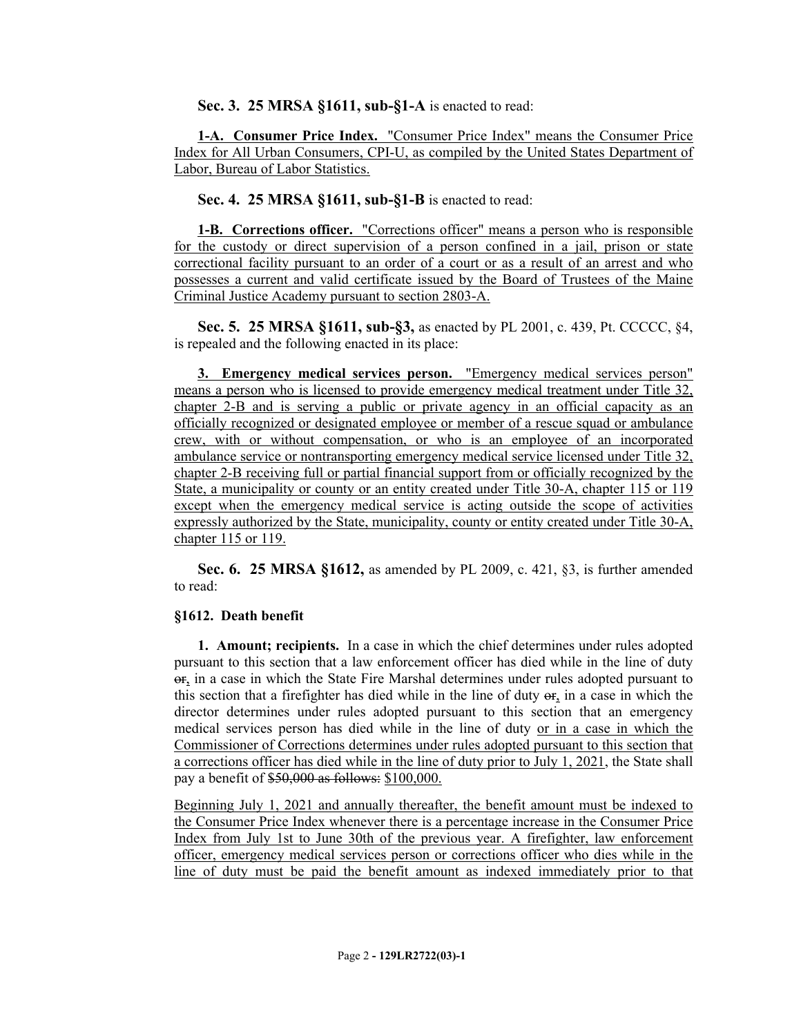**Sec. 3. 25 MRSA §1611, sub-§1-A** is enacted to read:

**1-A. Consumer Price Index.** "Consumer Price Index" means the Consumer Price Index for All Urban Consumers, CPI-U, as compiled by the United States Department of Labor, Bureau of Labor Statistics.

**Sec. 4. 25 MRSA §1611, sub-§1-B** is enacted to read:

**1-B. Corrections officer.** "Corrections officer" means a person who is responsible for the custody or direct supervision of a person confined in a jail, prison or state correctional facility pursuant to an order of a court or as a result of an arrest and who possesses a current and valid certificate issued by the Board of Trustees of the Maine Criminal Justice Academy pursuant to section 2803-A.

**Sec. 5. 25 MRSA §1611, sub-§3,** as enacted by PL 2001, c. 439, Pt. CCCCC, §4, is repealed and the following enacted in its place:

**3. Emergency medical services person.** "Emergency medical services person" means a person who is licensed to provide emergency medical treatment under Title 32, chapter 2-B and is serving a public or private agency in an official capacity as an officially recognized or designated employee or member of a rescue squad or ambulance crew, with or without compensation, or who is an employee of an incorporated ambulance service or nontransporting emergency medical service licensed under Title 32, chapter 2-B receiving full or partial financial support from or officially recognized by the State, a municipality or county or an entity created under Title 30-A, chapter 115 or 119 except when the emergency medical service is acting outside the scope of activities expressly authorized by the State, municipality, county or entity created under Title 30-A, chapter 115 or 119.

**Sec. 6. 25 MRSA §1612,** as amended by PL 2009, c. 421, §3, is further amended to read:

# **§1612. Death benefit**

**1. Amount; recipients.** In a case in which the chief determines under rules adopted pursuant to this section that a law enforcement officer has died while in the line of duty or, in a case in which the State Fire Marshal determines under rules adopted pursuant to this section that a firefighter has died while in the line of duty or, in a case in which the director determines under rules adopted pursuant to this section that an emergency medical services person has died while in the line of duty or in a case in which the Commissioner of Corrections determines under rules adopted pursuant to this section that a corrections officer has died while in the line of duty prior to July 1, 2021, the State shall pay a benefit of \$50,000 as follows: \$100,000.

Beginning July 1, 2021 and annually thereafter, the benefit amount must be indexed to the Consumer Price Index whenever there is a percentage increase in the Consumer Price Index from July 1st to June 30th of the previous year. A firefighter, law enforcement officer, emergency medical services person or corrections officer who dies while in the line of duty must be paid the benefit amount as indexed immediately prior to that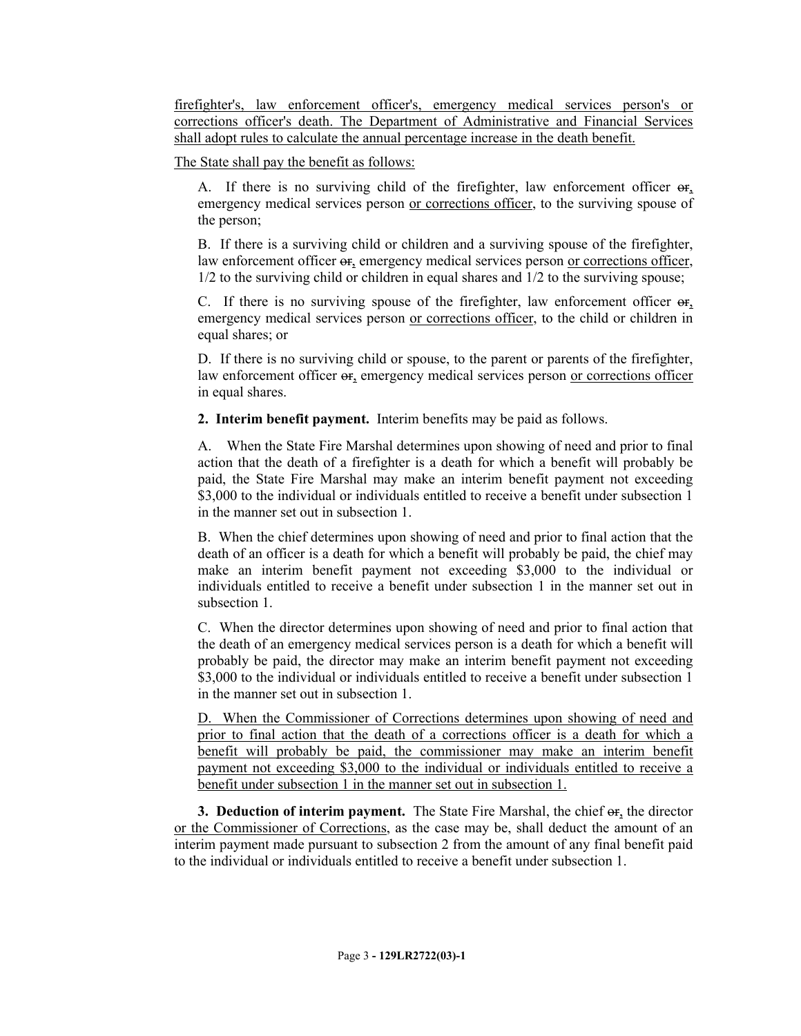firefighter's, law enforcement officer's, emergency medical services person's or corrections officer's death. The Department of Administrative and Financial Services shall adopt rules to calculate the annual percentage increase in the death benefit.

The State shall pay the benefit as follows:

A. If there is no surviving child of the firefighter, law enforcement officer  $\Theta$ <sub>r</sub>, emergency medical services person or corrections officer, to the surviving spouse of the person;

B. If there is a surviving child or children and a surviving spouse of the firefighter, law enforcement officer  $\Theta$ r, emergency medical services person or corrections officer, 1/2 to the surviving child or children in equal shares and 1/2 to the surviving spouse;

C. If there is no surviving spouse of the firefighter, law enforcement officer or, emergency medical services person or corrections officer, to the child or children in equal shares; or

D. If there is no surviving child or spouse, to the parent or parents of the firefighter, law enforcement officer or, emergency medical services person or corrections officer in equal shares.

**2. Interim benefit payment.** Interim benefits may be paid as follows.

A. When the State Fire Marshal determines upon showing of need and prior to final action that the death of a firefighter is a death for which a benefit will probably be paid, the State Fire Marshal may make an interim benefit payment not exceeding \$3,000 to the individual or individuals entitled to receive a benefit under subsection 1 in the manner set out in subsection 1.

B. When the chief determines upon showing of need and prior to final action that the death of an officer is a death for which a benefit will probably be paid, the chief may make an interim benefit payment not exceeding \$3,000 to the individual or individuals entitled to receive a benefit under subsection 1 in the manner set out in subsection 1

C. When the director determines upon showing of need and prior to final action that the death of an emergency medical services person is a death for which a benefit will probably be paid, the director may make an interim benefit payment not exceeding \$3,000 to the individual or individuals entitled to receive a benefit under subsection 1 in the manner set out in subsection 1.

D. When the Commissioner of Corrections determines upon showing of need and prior to final action that the death of a corrections officer is a death for which a benefit will probably be paid, the commissioner may make an interim benefit payment not exceeding \$3,000 to the individual or individuals entitled to receive a benefit under subsection 1 in the manner set out in subsection 1.

**3. Deduction of interim payment.** The State Fire Marshal, the chief  $\Theta$ **f**<sub>1</sub>, the director or the Commissioner of Corrections, as the case may be, shall deduct the amount of an interim payment made pursuant to subsection 2 from the amount of any final benefit paid to the individual or individuals entitled to receive a benefit under subsection 1.